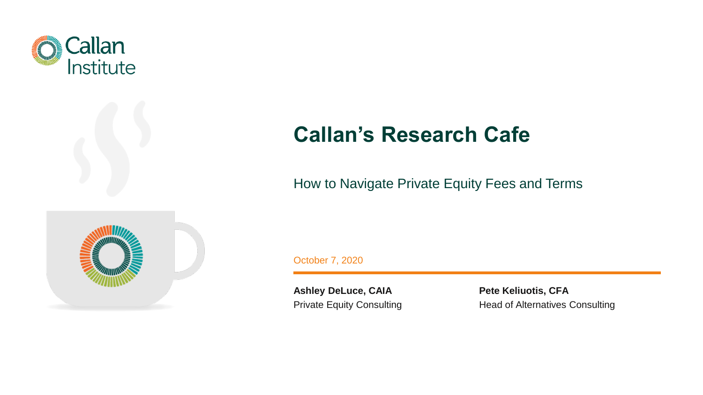

# **Callan's Research Cafe**

### How to Navigate Private Equity Fees and Terms



October 7, 2020

**Ashley DeLuce, CAIA** Private Equity Consulting **Pete Keliuotis, CFA** Head of Alternatives Consulting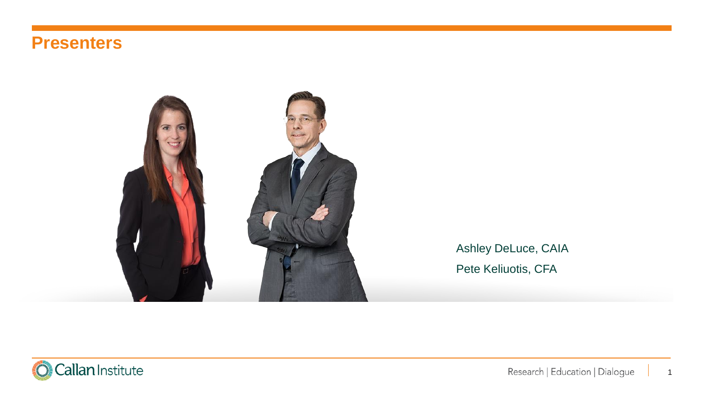### **Presenters**



Ashley DeLuce, CAIA Pete Keliuotis, CFA

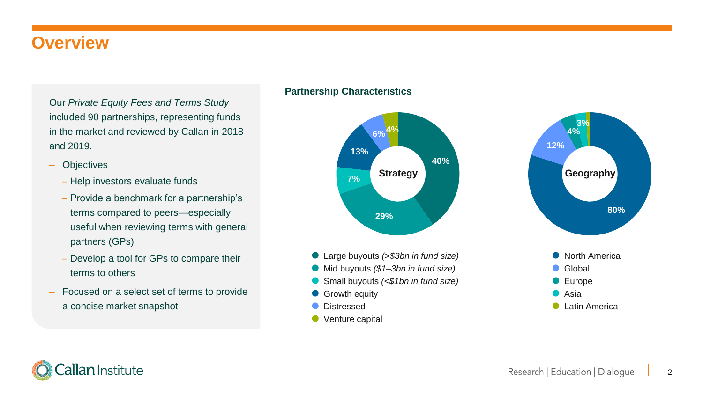### **Overview**

Our *Private Equity Fees and Terms Study*  included 90 partnerships, representing funds in the market and reviewed by Callan in 2018 and 2019.

- ‒ Objectives
	- Help investors evaluate funds
	- Provide a benchmark for a partnership's terms compared to peers—especially useful when reviewing terms with general partners (GPs)
	- Develop a tool for GPs to compare their terms to others
- ‒ Focused on a select set of terms to provide a concise market snapshot

#### **Partnership Characteristics**

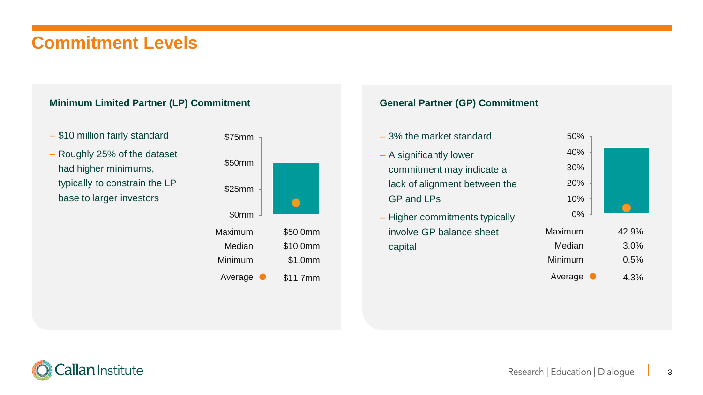## **Commitment Levels**

#### **Minimum Limited Partner (LP) Commitment**

- \$10 million fairly standard
- Roughly 25% of the dataset had higher minimums, typically to constrain the LP base to larger investors



#### **General Partner (GP) Commitment**

capital

0% 10% 20% 30% 40% 50% Maxi – 3% the market standard – A significantly lower commitment may indicate a lack of alignment between the GP and LPs – Higher commitments typically involve GP balance sheet

| 40%     |       |
|---------|-------|
| 30%     |       |
| 20%     |       |
| 10%     |       |
| 0%      |       |
| Maximum | 42.9% |
| Median  | 3.0%  |
| Minimum | 0.5%  |
|         |       |

Average 4.3%

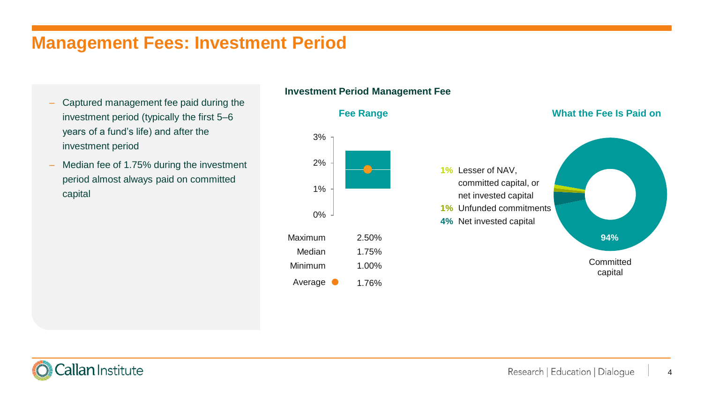### **Management Fees: Investment Period**

- ‒ Captured management fee paid during the investment period (typically the first 5–6 years of a fund's life) and after the investment period
- ‒ Median fee of 1.75% during the investment period almost always paid on committed capital

#### **Investment Period Management Fee**



#### **Fee Range What the Fee Is Paid on**



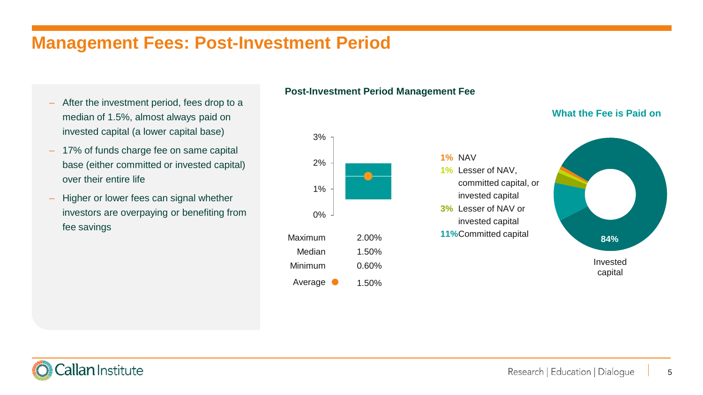### **Management Fees: Post-Investment Period**

- ‒ After the investment period, fees drop to a median of 1.5%, almost always paid on invested capital (a lower capital base)
- ‒ 17% of funds charge fee on same capital base (either committed or invested capital) over their entire life
- Higher or lower fees can signal whether investors are overpaying or benefiting from fee savings

### **Post-Investment Period Management Fee**

**1%** NAV

**1%** Lesser of NAV,

invested capital **3%** Lesser of NAV or invested capital



#### **What the Fee is Paid on**



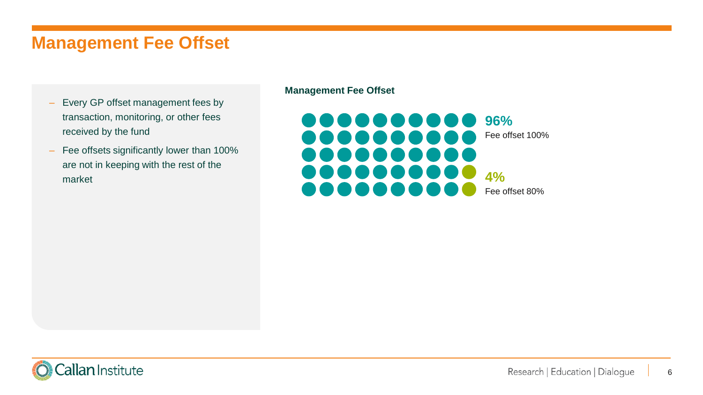### **Management Fee Offset**

- ‒ Every GP offset management fees by transaction, monitoring, or other fees received by the fund
- Fee offsets significantly lower than 100% are not in keeping with the rest of the market

#### **Management Fee Offset**



Callan Institute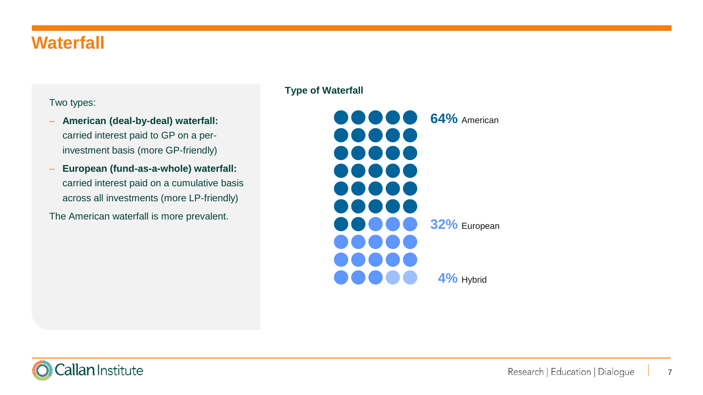### **Waterfall**

### Two types:

- ‒ **American (deal-by-deal) waterfall:**  carried interest paid to GP on a perinvestment basis (more GP-friendly)
- ‒ **European (fund-as-a-whole) waterfall:**  carried interest paid on a cumulative basis across all investments (more LP-friendly)

The American waterfall is more prevalent.

#### **Type of Waterfall**



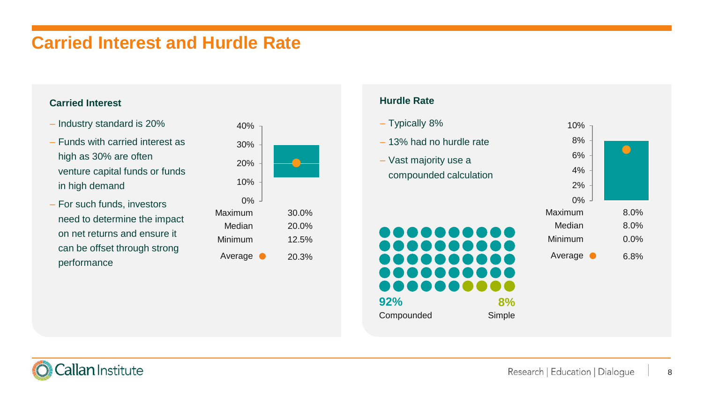### **Carried Interest and Hurdle Rate**

- Industry standard is 20%
- Funds with carried interest as high as 30% are often venture capital funds or funds in high demand
- For such funds, investors need to determine the impact on net returns and ensure it can be offset through strong performance



#### **Carried Interest Carried Interest**

– Typically 8% – 13% had no hurdle rate – Vast majority use a compounded calculation





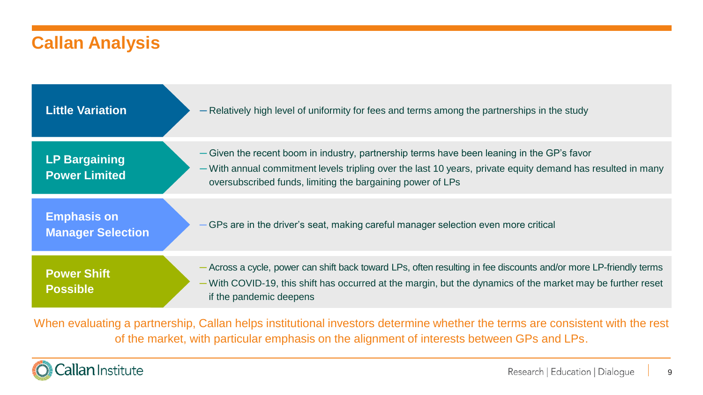### **Callan Analysis**

| <b>Little Variation</b>                        | - Relatively high level of uniformity for fees and terms among the partnerships in the study                                                                                                                                                                            |
|------------------------------------------------|-------------------------------------------------------------------------------------------------------------------------------------------------------------------------------------------------------------------------------------------------------------------------|
| <b>LP Bargaining</b><br><b>Power Limited</b>   | - Given the recent boom in industry, partnership terms have been leaning in the GP's favor<br>- With annual commitment levels tripling over the last 10 years, private equity demand has resulted in many<br>oversubscribed funds, limiting the bargaining power of LPs |
| <b>Emphasis on</b><br><b>Manager Selection</b> | GPs are in the driver's seat, making careful manager selection even more critical                                                                                                                                                                                       |
| <b>Power Shift</b><br><b>Possible</b>          | - Across a cycle, power can shift back toward LPs, often resulting in fee discounts and/or more LP-friendly terms<br>With COVID-19, this shift has occurred at the margin, but the dynamics of the market may be further reset<br>if the pandemic deepens               |

When evaluating a partnership, Callan helps institutional investors determine whether the terms are consistent with the rest of the market, with particular emphasis on the alignment of interests between GPs and LPs.

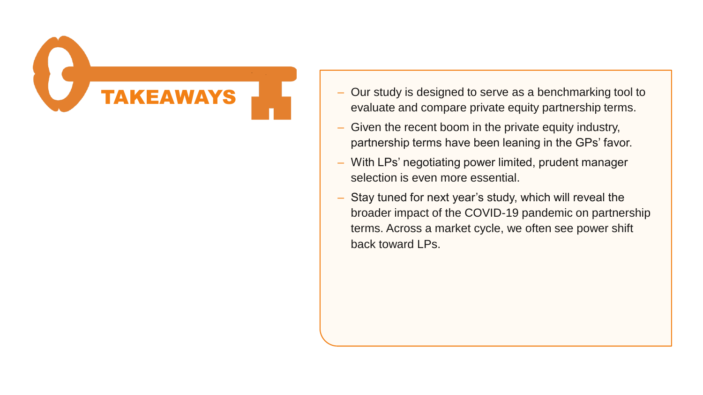

- $-$  Our study is designed to serve as a benchmarking tool to evaluate and compare private equity partnership terms.
- Given the recent boom in the private equity industry, partnership terms have been leaning in the GPs' favor.
- With LPs' negotiating power limited, prudent manager selection is even more essential.
- Stay tuned for next year's study, which will reveal the broader impact of the COVID-19 pandemic on partnership terms. Across a market cycle, we often see power shift back toward LPs.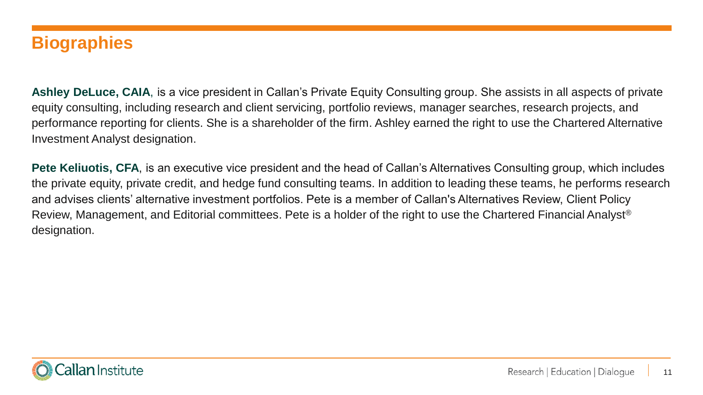### **Biographies**

**Ashley DeLuce, CAIA**, is a vice president in Callan's Private Equity Consulting group. She assists in all aspects of private equity consulting, including research and client servicing, portfolio reviews, manager searches, research projects, and performance reporting for clients. She is a shareholder of the firm. Ashley earned the right to use the Chartered Alternative Investment Analyst designation.

**Pete Keliuotis, CFA**, is an executive vice president and the head of Callan's Alternatives Consulting group, which includes the private equity, private credit, and hedge fund consulting teams. In addition to leading these teams, he performs research and advises clients' alternative investment portfolios. Pete is a member of Callan's Alternatives Review, Client Policy Review, Management, and Editorial committees. Pete is a holder of the right to use the Chartered Financial Analyst® designation.